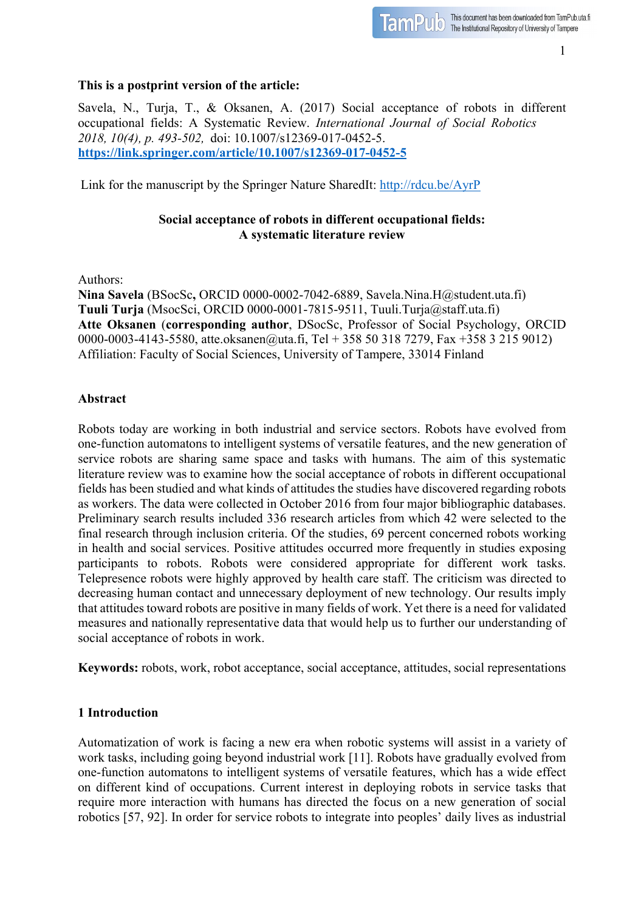1

#### **This is a postprint version of the article:**

Savela, N., Turja, T., & Oksanen, A. (2017) Social acceptance of robots in different occupational fields: A Systematic Review. *International Journal of Social Robotics 2018, 10(4), p. 493-502,* doi: 10.1007/s12369-017-0452-5. **https://link.springer.com/article/10.1007/s12369-017-0452-5**

Link for the manuscript by the Springer Nature SharedIt: http://rdcu.be/AyrP

# **Social acceptance of robots in different occupational fields: A systematic literature review**

Authors:

**Nina Savela** (BSocSc**,** ORCID 0000-0002-7042-6889, Savela.Nina.H@student.uta.fi) **Tuuli Turja** (MsocSci, ORCID 0000-0001-7815-9511, Tuuli.Turja@staff.uta.fi) **Atte Oksanen** (**corresponding author**, DSocSc, Professor of Social Psychology, ORCID 0000-0003-4143-5580, atte.oksanen@uta.fi, Tel + 358 50 318 7279, Fax +358 3 215 9012) Affiliation: Faculty of Social Sciences, University of Tampere, 33014 Finland

#### **Abstract**

Robots today are working in both industrial and service sectors. Robots have evolved from one-function automatons to intelligent systems of versatile features, and the new generation of service robots are sharing same space and tasks with humans. The aim of this systematic literature review was to examine how the social acceptance of robots in different occupational fields has been studied and what kinds of attitudes the studies have discovered regarding robots as workers. The data were collected in October 2016 from four major bibliographic databases. Preliminary search results included 336 research articles from which 42 were selected to the final research through inclusion criteria. Of the studies, 69 percent concerned robots working in health and social services. Positive attitudes occurred more frequently in studies exposing participants to robots. Robots were considered appropriate for different work tasks. Telepresence robots were highly approved by health care staff. The criticism was directed to decreasing human contact and unnecessary deployment of new technology. Our results imply that attitudes toward robots are positive in many fields of work. Yet there is a need for validated measures and nationally representative data that would help us to further our understanding of social acceptance of robots in work.

**Keywords:** robots, work, robot acceptance, social acceptance, attitudes, social representations

## **1 Introduction**

Automatization of work is facing a new era when robotic systems will assist in a variety of work tasks, including going beyond industrial work [11]. Robots have gradually evolved from one-function automatons to intelligent systems of versatile features, which has a wide effect on different kind of occupations. Current interest in deploying robots in service tasks that require more interaction with humans has directed the focus on a new generation of social robotics [57, 92]. In order for service robots to integrate into peoples' daily lives as industrial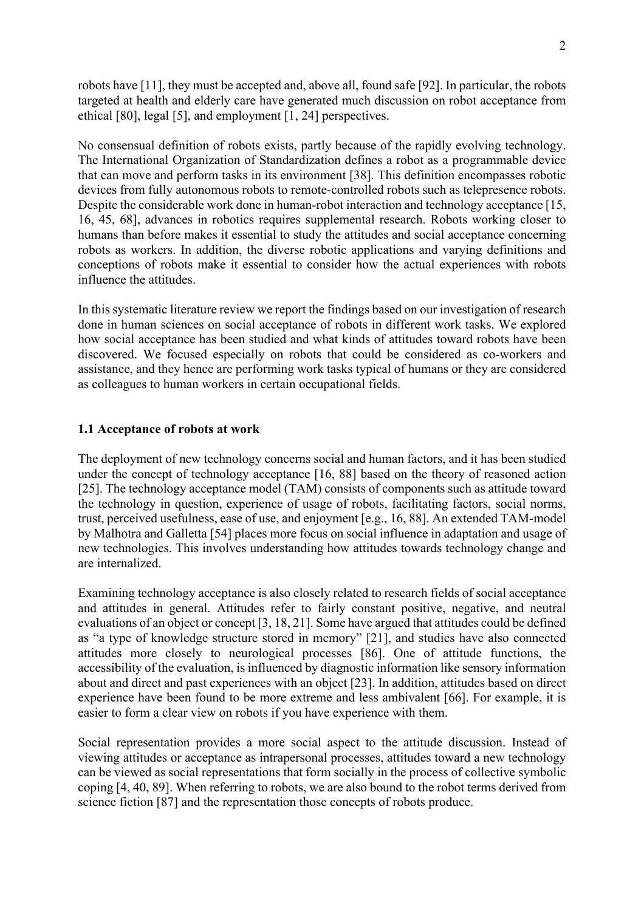robots have [11], they must be accepted and, above all, found safe [92]. In particular, the robots targeted at health and elderly care have generated much discussion on robot acceptance from ethical [80], legal [5], and employment [1, 24] perspectives.

No consensual definition of robots exists, partly because of the rapidly evolving technology. The International Organization of Standardization defines a robot as a programmable device that can move and perform tasks in its environment [38]. This definition encompasses robotic devices from fully autonomous robots to remote-controlled robots such as telepresence robots. Despite the considerable work done in human-robot interaction and technology acceptance [15, 16, 45, 68], advances in robotics requires supplemental research. Robots working closer to humans than before makes it essential to study the attitudes and social acceptance concerning robots as workers. In addition, the diverse robotic applications and varying definitions and conceptions of robots make it essential to consider how the actual experiences with robots influence the attitudes.

In this systematic literature review we report the findings based on our investigation of research done in human sciences on social acceptance of robots in different work tasks. We explored how social acceptance has been studied and what kinds of attitudes toward robots have been discovered. We focused especially on robots that could be considered as co-workers and assistance, and they hence are performing work tasks typical of humans or they are considered as colleagues to human workers in certain occupational fields.

#### **1.1 Acceptance of robots at work**

The deployment of new technology concerns social and human factors, and it has been studied under the concept of technology acceptance [16, 88] based on the theory of reasoned action [25]. The technology acceptance model (TAM) consists of components such as attitude toward the technology in question, experience of usage of robots, facilitating factors, social norms, trust, perceived usefulness, ease of use, and enjoyment [e.g., 16, 88]. An extended TAM-model by Malhotra and Galletta [54] places more focus on social influence in adaptation and usage of new technologies. This involves understanding how attitudes towards technology change and are internalized.

Examining technology acceptance is also closely related to research fields of social acceptance and attitudes in general. Attitudes refer to fairly constant positive, negative, and neutral evaluations of an object or concept [3, 18, 21]. Some have argued that attitudes could be defined as "a type of knowledge structure stored in memory" [21], and studies have also connected attitudes more closely to neurological processes [86]. One of attitude functions, the accessibility of the evaluation, is influenced by diagnostic information like sensory information about and direct and past experiences with an object [23]. In addition, attitudes based on direct experience have been found to be more extreme and less ambivalent [66]. For example, it is easier to form a clear view on robots if you have experience with them.

Social representation provides a more social aspect to the attitude discussion. Instead of viewing attitudes or acceptance as intrapersonal processes, attitudes toward a new technology can be viewed as social representations that form socially in the process of collective symbolic coping [4, 40, 89]. When referring to robots, we are also bound to the robot terms derived from science fiction [87] and the representation those concepts of robots produce.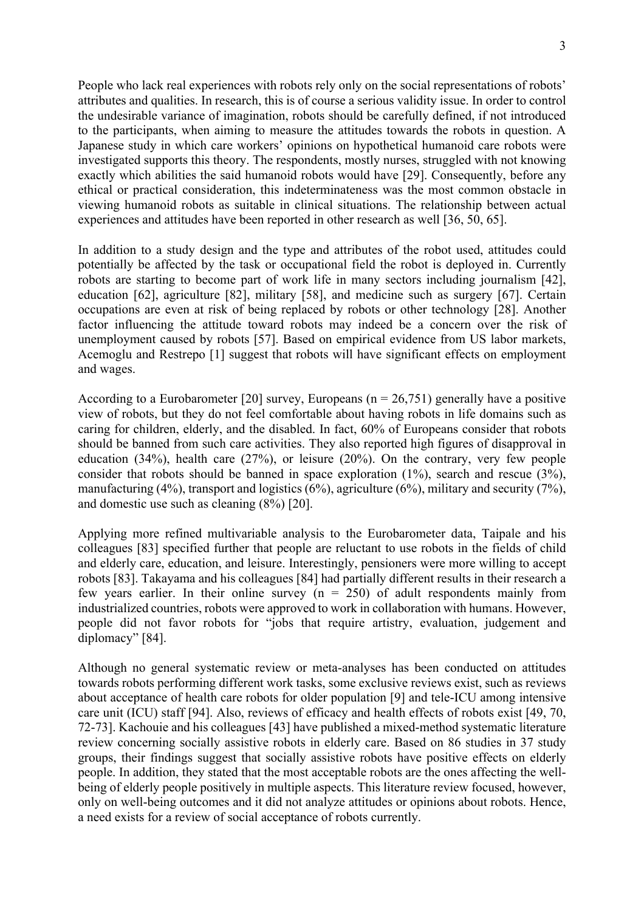People who lack real experiences with robots rely only on the social representations of robots' attributes and qualities. In research, this is of course a serious validity issue. In order to control the undesirable variance of imagination, robots should be carefully defined, if not introduced to the participants, when aiming to measure the attitudes towards the robots in question. A Japanese study in which care workers' opinions on hypothetical humanoid care robots were investigated supports this theory. The respondents, mostly nurses, struggled with not knowing exactly which abilities the said humanoid robots would have [29]. Consequently, before any ethical or practical consideration, this indeterminateness was the most common obstacle in viewing humanoid robots as suitable in clinical situations. The relationship between actual experiences and attitudes have been reported in other research as well [36, 50, 65].

In addition to a study design and the type and attributes of the robot used, attitudes could potentially be affected by the task or occupational field the robot is deployed in. Currently robots are starting to become part of work life in many sectors including journalism [42], education [62], agriculture [82], military [58], and medicine such as surgery [67]. Certain occupations are even at risk of being replaced by robots or other technology [28]. Another factor influencing the attitude toward robots may indeed be a concern over the risk of unemployment caused by robots [57]. Based on empirical evidence from US labor markets, Acemoglu and Restrepo [1] suggest that robots will have significant effects on employment and wages.

According to a Eurobarometer [20] survey, Europeans ( $n = 26,751$ ) generally have a positive view of robots, but they do not feel comfortable about having robots in life domains such as caring for children, elderly, and the disabled. In fact, 60% of Europeans consider that robots should be banned from such care activities. They also reported high figures of disapproval in education (34%), health care (27%), or leisure (20%). On the contrary, very few people consider that robots should be banned in space exploration (1%), search and rescue (3%), manufacturing  $(4\%)$ , transport and logistics  $(6\%)$ , agriculture  $(6\%)$ , military and security  $(7\%)$ , and domestic use such as cleaning (8%) [20].

Applying more refined multivariable analysis to the Eurobarometer data, Taipale and his colleagues [83] specified further that people are reluctant to use robots in the fields of child and elderly care, education, and leisure. Interestingly, pensioners were more willing to accept robots [83]. Takayama and his colleagues [84] had partially different results in their research a few years earlier. In their online survey  $(n = 250)$  of adult respondents mainly from industrialized countries, robots were approved to work in collaboration with humans. However, people did not favor robots for "jobs that require artistry, evaluation, judgement and diplomacy" [84].

Although no general systematic review or meta-analyses has been conducted on attitudes towards robots performing different work tasks, some exclusive reviews exist, such as reviews about acceptance of health care robots for older population [9] and tele-ICU among intensive care unit (ICU) staff [94]. Also, reviews of efficacy and health effects of robots exist [49, 70, 72-73]. Kachouie and his colleagues [43] have published a mixed-method systematic literature review concerning socially assistive robots in elderly care. Based on 86 studies in 37 study groups, their findings suggest that socially assistive robots have positive effects on elderly people. In addition, they stated that the most acceptable robots are the ones affecting the wellbeing of elderly people positively in multiple aspects. This literature review focused, however, only on well-being outcomes and it did not analyze attitudes or opinions about robots. Hence, a need exists for a review of social acceptance of robots currently.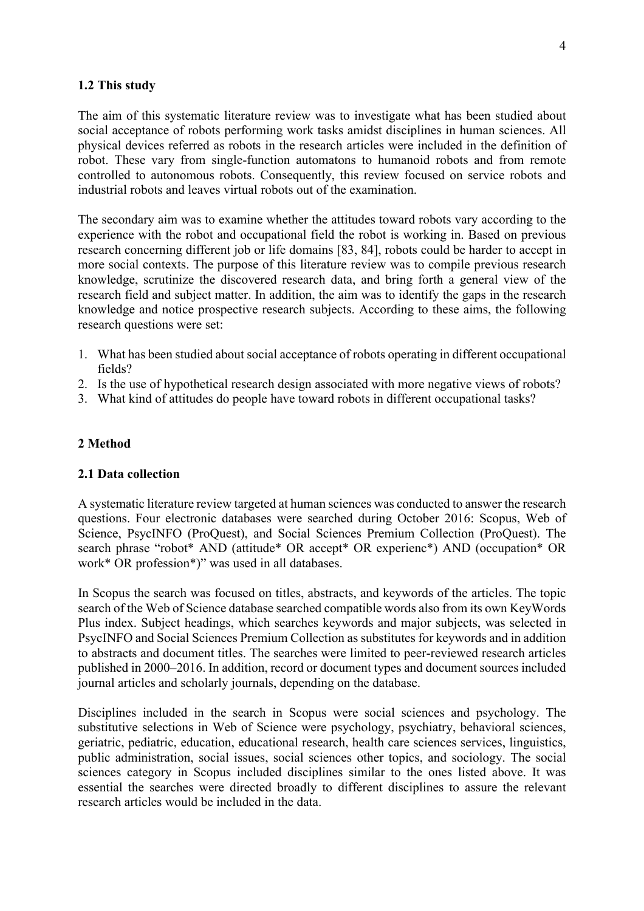#### **1.2 This study**

The aim of this systematic literature review was to investigate what has been studied about social acceptance of robots performing work tasks amidst disciplines in human sciences. All physical devices referred as robots in the research articles were included in the definition of robot. These vary from single-function automatons to humanoid robots and from remote controlled to autonomous robots. Consequently, this review focused on service robots and industrial robots and leaves virtual robots out of the examination.

The secondary aim was to examine whether the attitudes toward robots vary according to the experience with the robot and occupational field the robot is working in. Based on previous research concerning different job or life domains [83, 84], robots could be harder to accept in more social contexts. The purpose of this literature review was to compile previous research knowledge, scrutinize the discovered research data, and bring forth a general view of the research field and subject matter. In addition, the aim was to identify the gaps in the research knowledge and notice prospective research subjects. According to these aims, the following research questions were set:

- 1. What has been studied about social acceptance of robots operating in different occupational fields?
- 2. Is the use of hypothetical research design associated with more negative views of robots?
- 3. What kind of attitudes do people have toward robots in different occupational tasks?

#### **2 Method**

#### **2.1 Data collection**

A systematic literature review targeted at human sciences was conducted to answer the research questions. Four electronic databases were searched during October 2016: Scopus, Web of Science, PsycINFO (ProQuest), and Social Sciences Premium Collection (ProQuest). The search phrase "robot\* AND (attitude\* OR accept\* OR experienc\*) AND (occupation\* OR work\* OR profession\*)" was used in all databases.

In Scopus the search was focused on titles, abstracts, and keywords of the articles. The topic search of the Web of Science database searched compatible words also from its own KeyWords Plus index. Subject headings, which searches keywords and major subjects, was selected in PsycINFO and Social Sciences Premium Collection as substitutes for keywords and in addition to abstracts and document titles. The searches were limited to peer-reviewed research articles published in 2000–2016. In addition, record or document types and document sources included journal articles and scholarly journals, depending on the database.

Disciplines included in the search in Scopus were social sciences and psychology. The substitutive selections in Web of Science were psychology, psychiatry, behavioral sciences, geriatric, pediatric, education, educational research, health care sciences services, linguistics, public administration, social issues, social sciences other topics, and sociology. The social sciences category in Scopus included disciplines similar to the ones listed above. It was essential the searches were directed broadly to different disciplines to assure the relevant research articles would be included in the data.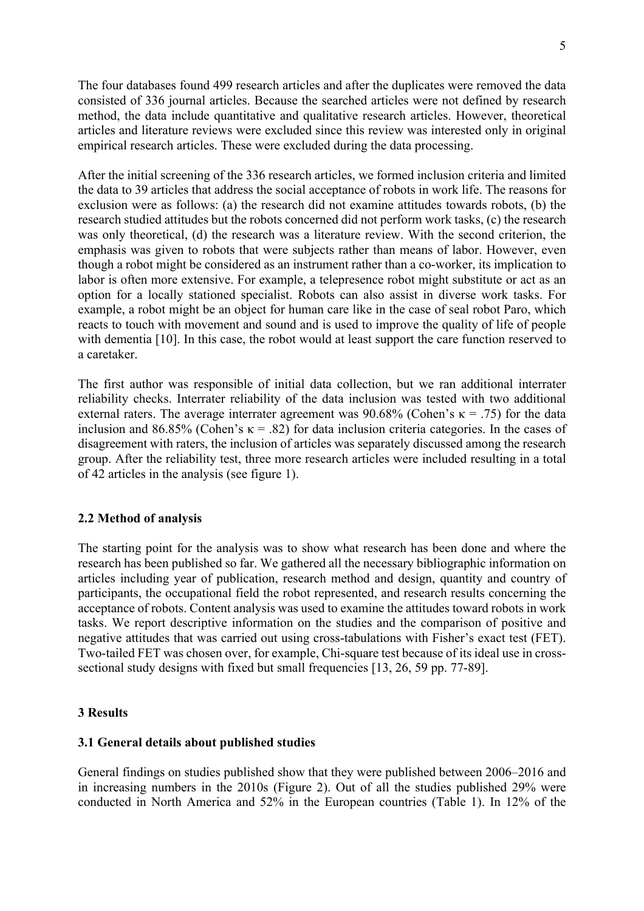The four databases found 499 research articles and after the duplicates were removed the data consisted of 336 journal articles. Because the searched articles were not defined by research method, the data include quantitative and qualitative research articles. However, theoretical articles and literature reviews were excluded since this review was interested only in original empirical research articles. These were excluded during the data processing.

After the initial screening of the 336 research articles, we formed inclusion criteria and limited the data to 39 articles that address the social acceptance of robots in work life. The reasons for exclusion were as follows: (a) the research did not examine attitudes towards robots, (b) the research studied attitudes but the robots concerned did not perform work tasks, (c) the research was only theoretical, (d) the research was a literature review. With the second criterion, the emphasis was given to robots that were subjects rather than means of labor. However, even though a robot might be considered as an instrument rather than a co-worker, its implication to labor is often more extensive. For example, a telepresence robot might substitute or act as an option for a locally stationed specialist. Robots can also assist in diverse work tasks. For example, a robot might be an object for human care like in the case of seal robot Paro, which reacts to touch with movement and sound and is used to improve the quality of life of people with dementia [10]. In this case, the robot would at least support the care function reserved to a caretaker.

The first author was responsible of initial data collection, but we ran additional interrater reliability checks. Interrater reliability of the data inclusion was tested with two additional external raters. The average interrater agreement was 90.68% (Cohen's  $\kappa$  = .75) for the data inclusion and 86.85% (Cohen's  $\kappa$  = .82) for data inclusion criteria categories. In the cases of disagreement with raters, the inclusion of articles was separately discussed among the research group. After the reliability test, three more research articles were included resulting in a total of 42 articles in the analysis (see figure 1).

#### **2.2 Method of analysis**

The starting point for the analysis was to show what research has been done and where the research has been published so far. We gathered all the necessary bibliographic information on articles including year of publication, research method and design, quantity and country of participants, the occupational field the robot represented, and research results concerning the acceptance of robots. Content analysis was used to examine the attitudes toward robots in work tasks. We report descriptive information on the studies and the comparison of positive and negative attitudes that was carried out using cross-tabulations with Fisher's exact test (FET). Two-tailed FET was chosen over, for example, Chi-square test because of its ideal use in crosssectional study designs with fixed but small frequencies [13, 26, 59 pp. 77-89].

#### **3 Results**

#### **3.1 General details about published studies**

General findings on studies published show that they were published between 2006–2016 and in increasing numbers in the 2010s (Figure 2). Out of all the studies published 29% were conducted in North America and 52% in the European countries (Table 1). In 12% of the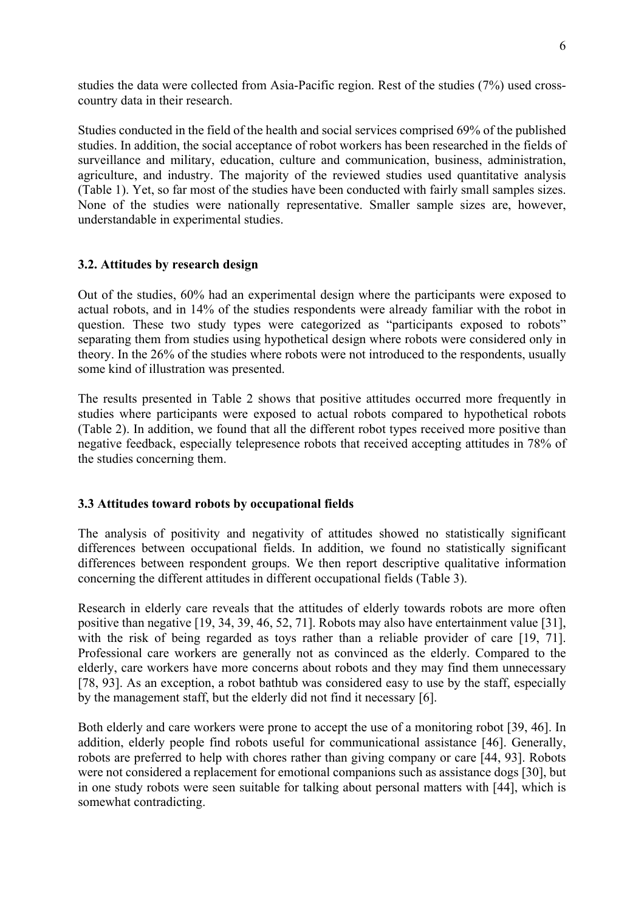studies the data were collected from Asia-Pacific region. Rest of the studies (7%) used crosscountry data in their research.

Studies conducted in the field of the health and social services comprised 69% of the published studies. In addition, the social acceptance of robot workers has been researched in the fields of surveillance and military, education, culture and communication, business, administration, agriculture, and industry. The majority of the reviewed studies used quantitative analysis (Table 1). Yet, so far most of the studies have been conducted with fairly small samples sizes. None of the studies were nationally representative. Smaller sample sizes are, however, understandable in experimental studies.

# **3.2. Attitudes by research design**

Out of the studies, 60% had an experimental design where the participants were exposed to actual robots, and in 14% of the studies respondents were already familiar with the robot in question. These two study types were categorized as "participants exposed to robots" separating them from studies using hypothetical design where robots were considered only in theory. In the 26% of the studies where robots were not introduced to the respondents, usually some kind of illustration was presented.

The results presented in Table 2 shows that positive attitudes occurred more frequently in studies where participants were exposed to actual robots compared to hypothetical robots (Table 2). In addition, we found that all the different robot types received more positive than negative feedback, especially telepresence robots that received accepting attitudes in 78% of the studies concerning them.

## **3.3 Attitudes toward robots by occupational fields**

The analysis of positivity and negativity of attitudes showed no statistically significant differences between occupational fields. In addition, we found no statistically significant differences between respondent groups. We then report descriptive qualitative information concerning the different attitudes in different occupational fields (Table 3).

Research in elderly care reveals that the attitudes of elderly towards robots are more often positive than negative [19, 34, 39, 46, 52, 71]. Robots may also have entertainment value [31], with the risk of being regarded as toys rather than a reliable provider of care [19, 71]. Professional care workers are generally not as convinced as the elderly. Compared to the elderly, care workers have more concerns about robots and they may find them unnecessary [78, 93]. As an exception, a robot bathtub was considered easy to use by the staff, especially by the management staff, but the elderly did not find it necessary [6].

Both elderly and care workers were prone to accept the use of a monitoring robot [39, 46]. In addition, elderly people find robots useful for communicational assistance [46]. Generally, robots are preferred to help with chores rather than giving company or care [44, 93]. Robots were not considered a replacement for emotional companions such as assistance dogs [30], but in one study robots were seen suitable for talking about personal matters with [44], which is somewhat contradicting.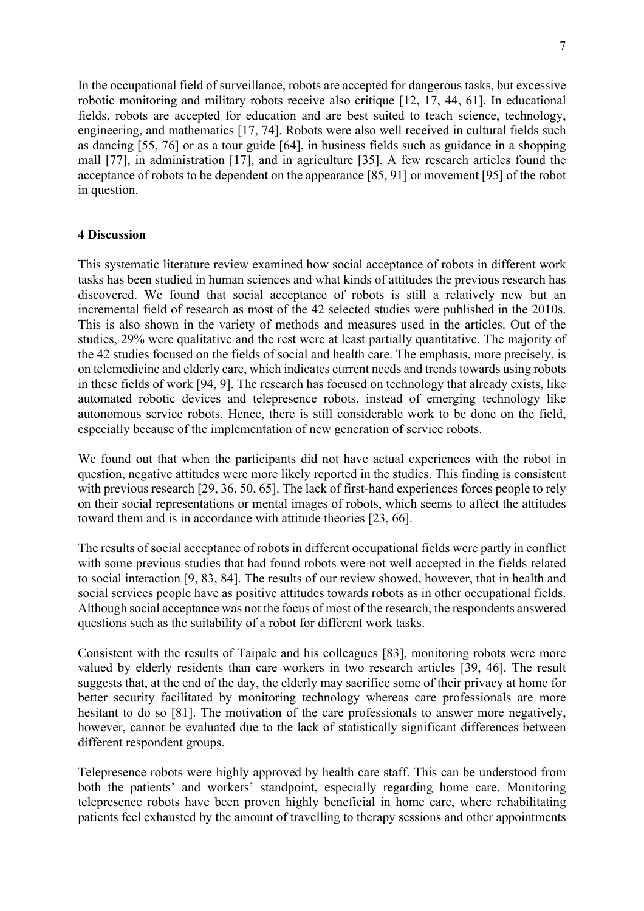In the occupational field of surveillance, robots are accepted for dangerous tasks, but excessive robotic monitoring and military robots receive also critique [12, 17, 44, 61]. In educational fields, robots are accepted for education and are best suited to teach science, technology, engineering, and mathematics [17, 74]. Robots were also well received in cultural fields such as dancing [55, 76] or as a tour guide [64], in business fields such as guidance in a shopping mall [77], in administration [17], and in agriculture [35]. A few research articles found the acceptance of robots to be dependent on the appearance [85, 91] or movement [95] of the robot in question.

#### **4 Discussion**

This systematic literature review examined how social acceptance of robots in different work tasks has been studied in human sciences and what kinds of attitudes the previous research has discovered. We found that social acceptance of robots is still a relatively new but an incremental field of research as most of the 42 selected studies were published in the 2010s. This is also shown in the variety of methods and measures used in the articles. Out of the studies, 29% were qualitative and the rest were at least partially quantitative. The majority of the 42 studies focused on the fields of social and health care. The emphasis, more precisely, is on telemedicine and elderly care, which indicates current needs and trends towards using robots in these fields of work [94, 9]. The research has focused on technology that already exists, like automated robotic devices and telepresence robots, instead of emerging technology like autonomous service robots. Hence, there is still considerable work to be done on the field, especially because of the implementation of new generation of service robots.

We found out that when the participants did not have actual experiences with the robot in question, negative attitudes were more likely reported in the studies. This finding is consistent with previous research [29, 36, 50, 65]. The lack of first-hand experiences forces people to rely on their social representations or mental images of robots, which seems to affect the attitudes toward them and is in accordance with attitude theories [23, 66].

The results of social acceptance of robots in different occupational fields were partly in conflict with some previous studies that had found robots were not well accepted in the fields related to social interaction [9, 83, 84]. The results of our review showed, however, that in health and social services people have as positive attitudes towards robots as in other occupational fields. Although social acceptance was not the focus of most of the research, the respondents answered questions such as the suitability of a robot for different work tasks.

Consistent with the results of Taipale and his colleagues [83], monitoring robots were more valued by elderly residents than care workers in two research articles [39, 46]. The result suggests that, at the end of the day, the elderly may sacrifice some of their privacy at home for better security facilitated by monitoring technology whereas care professionals are more hesitant to do so [81]. The motivation of the care professionals to answer more negatively, however, cannot be evaluated due to the lack of statistically significant differences between different respondent groups.

Telepresence robots were highly approved by health care staff. This can be understood from both the patients' and workers' standpoint, especially regarding home care. Monitoring telepresence robots have been proven highly beneficial in home care, where rehabilitating patients feel exhausted by the amount of travelling to therapy sessions and other appointments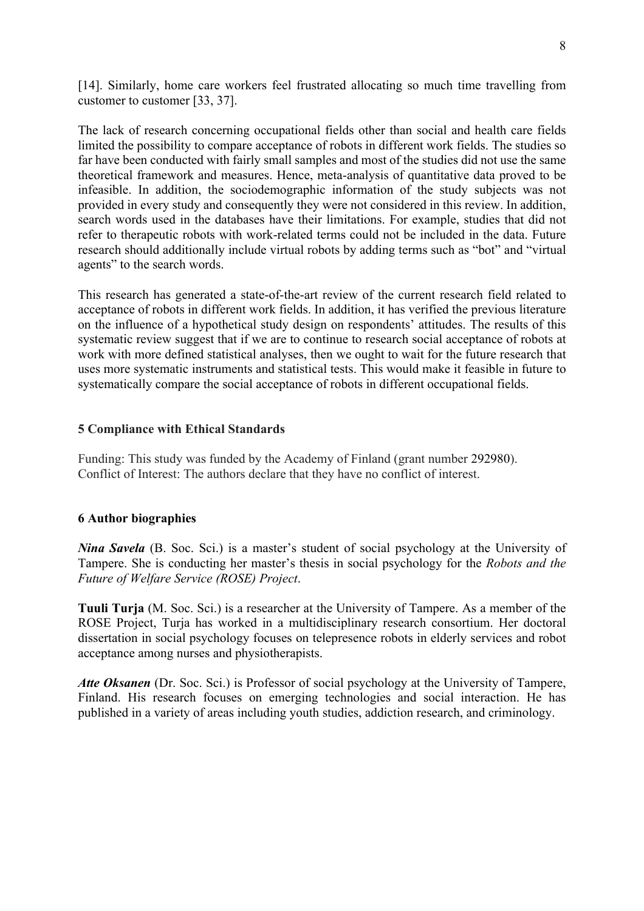[14]. Similarly, home care workers feel frustrated allocating so much time travelling from customer to customer [33, 37].

The lack of research concerning occupational fields other than social and health care fields limited the possibility to compare acceptance of robots in different work fields. The studies so far have been conducted with fairly small samples and most of the studies did not use the same theoretical framework and measures. Hence, meta-analysis of quantitative data proved to be infeasible. In addition, the sociodemographic information of the study subjects was not provided in every study and consequently they were not considered in this review. In addition, search words used in the databases have their limitations. For example, studies that did not refer to therapeutic robots with work-related terms could not be included in the data. Future research should additionally include virtual robots by adding terms such as "bot" and "virtual agents" to the search words.

This research has generated a state-of-the-art review of the current research field related to acceptance of robots in different work fields. In addition, it has verified the previous literature on the influence of a hypothetical study design on respondents' attitudes. The results of this systematic review suggest that if we are to continue to research social acceptance of robots at work with more defined statistical analyses, then we ought to wait for the future research that uses more systematic instruments and statistical tests. This would make it feasible in future to systematically compare the social acceptance of robots in different occupational fields.

#### **5 Compliance with Ethical Standards**

Funding: This study was funded by the Academy of Finland (grant number 292980). Conflict of Interest: The authors declare that they have no conflict of interest.

#### **6 Author biographies**

*Nina Savela* (B. Soc. Sci.) is a master's student of social psychology at the University of Tampere. She is conducting her master's thesis in social psychology for the *Robots and the Future of Welfare Service (ROSE) Project*.

**Tuuli Turja** (M. Soc. Sci.) is a researcher at the University of Tampere. As a member of the ROSE Project, Turja has worked in a multidisciplinary research consortium. Her doctoral dissertation in social psychology focuses on telepresence robots in elderly services and robot acceptance among nurses and physiotherapists.

*Atte Oksanen* (Dr. Soc. Sci.) is Professor of social psychology at the University of Tampere, Finland. His research focuses on emerging technologies and social interaction. He has published in a variety of areas including youth studies, addiction research, and criminology.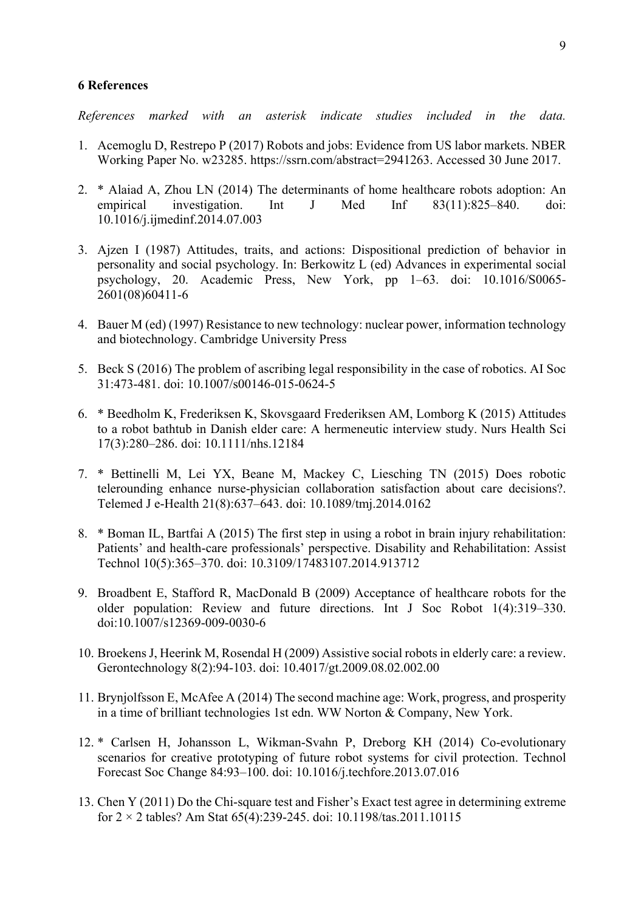#### **6 References**

*References marked with an asterisk indicate studies included in the data.*

- 1. Acemoglu D, Restrepo P (2017) Robots and jobs: Evidence from US labor markets. NBER Working Paper No. w23285. https://ssrn.com/abstract=2941263. Accessed 30 June 2017.
- 2. \* Alaiad A, Zhou LN (2014) The determinants of home healthcare robots adoption: An empirical investigation. Int J Med Inf 83(11):825–840. doi: 10.1016/j.ijmedinf.2014.07.003
- 3. Ajzen I (1987) Attitudes, traits, and actions: Dispositional prediction of behavior in personality and social psychology. In: Berkowitz L (ed) Advances in experimental social psychology, 20. Academic Press, New York, pp 1–63. doi: 10.1016/S0065- 2601(08)60411-6
- 4. Bauer M (ed) (1997) Resistance to new technology: nuclear power, information technology and biotechnology. Cambridge University Press
- 5. Beck S (2016) The problem of ascribing legal responsibility in the case of robotics. AI Soc 31:473-481. doi: 10.1007/s00146-015-0624-5
- 6. \* Beedholm K, Frederiksen K, Skovsgaard Frederiksen AM, Lomborg K (2015) Attitudes to a robot bathtub in Danish elder care: A hermeneutic interview study. Nurs Health Sci 17(3):280–286. doi: 10.1111/nhs.12184
- 7. \* Bettinelli M, Lei YX, Beane M, Mackey C, Liesching TN (2015) Does robotic telerounding enhance nurse-physician collaboration satisfaction about care decisions?. Telemed J e-Health 21(8):637–643. doi: 10.1089/tmj.2014.0162
- 8. \* Boman IL, Bartfai A (2015) The first step in using a robot in brain injury rehabilitation: Patients' and health-care professionals' perspective. Disability and Rehabilitation: Assist Technol 10(5):365–370. doi: 10.3109/17483107.2014.913712
- 9. Broadbent E, Stafford R, MacDonald B (2009) Acceptance of healthcare robots for the older population: Review and future directions. Int J Soc Robot 1(4):319–330. doi:10.1007/s12369-009-0030-6
- 10. Broekens J, Heerink M, Rosendal H (2009) Assistive social robots in elderly care: a review. Gerontechnology 8(2):94-103. doi: 10.4017/gt.2009.08.02.002.00
- 11. Brynjolfsson E, McAfee A (2014) The second machine age: Work, progress, and prosperity in a time of brilliant technologies 1st edn. WW Norton & Company, New York.
- 12. \* Carlsen H, Johansson L, Wikman-Svahn P, Dreborg KH (2014) Co-evolutionary scenarios for creative prototyping of future robot systems for civil protection. Technol Forecast Soc Change 84:93–100. doi: 10.1016/j.techfore.2013.07.016
- 13. Chen Y (2011) Do the Chi-square test and Fisher's Exact test agree in determining extreme for  $2 \times 2$  tables? Am Stat 65(4):239-245. doi: 10.1198/tas.2011.10115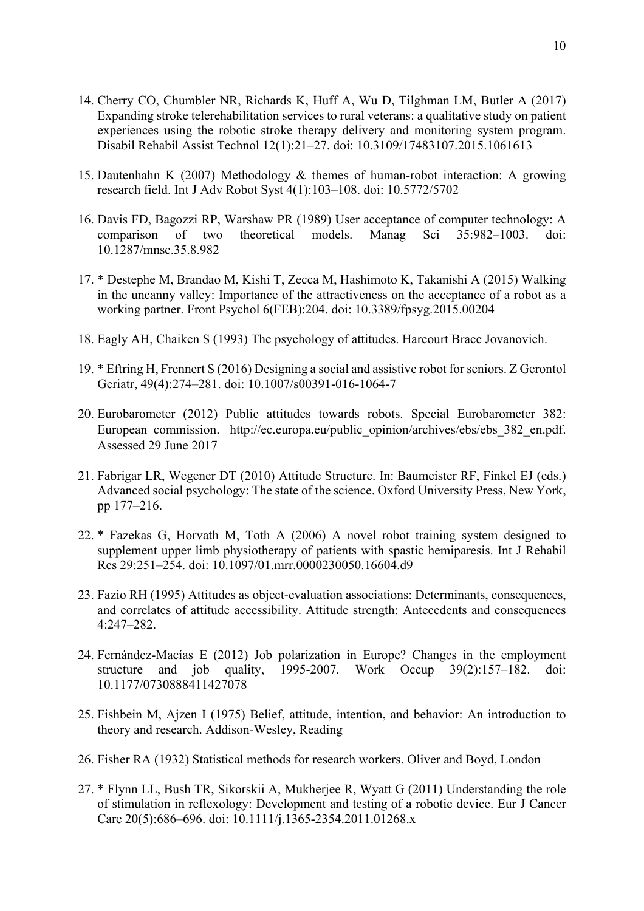- 14. Cherry CO, Chumbler NR, Richards K, Huff A, Wu D, Tilghman LM, Butler A (2017) Expanding stroke telerehabilitation services to rural veterans: a qualitative study on patient experiences using the robotic stroke therapy delivery and monitoring system program. Disabil Rehabil Assist Technol 12(1):21–27. doi: 10.3109/17483107.2015.1061613
- 15. Dautenhahn K (2007) Methodology & themes of human-robot interaction: A growing research field. Int J Adv Robot Syst 4(1):103–108. doi: 10.5772/5702
- 16. Davis FD, Bagozzi RP, Warshaw PR (1989) User acceptance of computer technology: A comparison of two theoretical models. Manag Sci 35:982–1003. doi: 10.1287/mnsc.35.8.982
- 17. \* Destephe M, Brandao M, Kishi T, Zecca M, Hashimoto K, Takanishi A (2015) Walking in the uncanny valley: Importance of the attractiveness on the acceptance of a robot as a working partner. Front Psychol 6(FEB):204. doi: 10.3389/fpsyg.2015.00204
- 18. Eagly AH, Chaiken S (1993) The psychology of attitudes. Harcourt Brace Jovanovich.
- 19. \* Eftring H, Frennert S (2016) Designing a social and assistive robot for seniors. Z Gerontol Geriatr, 49(4):274–281. doi: 10.1007/s00391-016-1064-7
- 20. Eurobarometer (2012) Public attitudes towards robots. Special Eurobarometer 382: European commission. http://ec.europa.eu/public\_opinion/archives/ebs/ebs\_382\_en.pdf. Assessed 29 June 2017
- 21. Fabrigar LR, Wegener DT (2010) Attitude Structure. In: Baumeister RF, Finkel EJ (eds.) Advanced social psychology: The state of the science. Oxford University Press, New York, pp 177–216.
- 22. \* Fazekas G, Horvath M, Toth A (2006) A novel robot training system designed to supplement upper limb physiotherapy of patients with spastic hemiparesis. Int J Rehabil Res 29:251–254. doi: 10.1097/01.mrr.0000230050.16604.d9
- 23. Fazio RH (1995) Attitudes as object-evaluation associations: Determinants, consequences, and correlates of attitude accessibility. Attitude strength: Antecedents and consequences 4:247–282.
- 24. Fernández-Macías E (2012) Job polarization in Europe? Changes in the employment structure and job quality, 1995-2007. Work Occup 39(2):157–182. doi: 10.1177/0730888411427078
- 25. Fishbein M, Ajzen I (1975) Belief, attitude, intention, and behavior: An introduction to theory and research. Addison-Wesley, Reading
- 26. Fisher RA (1932) Statistical methods for research workers. Oliver and Boyd, London
- 27. \* Flynn LL, Bush TR, Sikorskii A, Mukherjee R, Wyatt G (2011) Understanding the role of stimulation in reflexology: Development and testing of a robotic device. Eur J Cancer Care 20(5):686–696. doi: 10.1111/j.1365-2354.2011.01268.x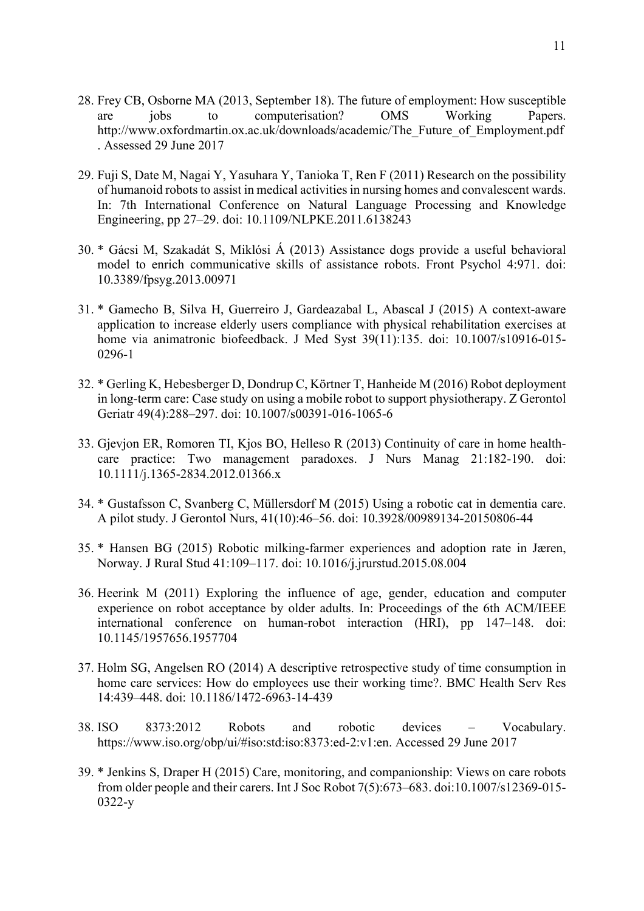- 28. Frey CB, Osborne MA (2013, September 18). The future of employment: How susceptible are jobs to computerisation? OMS Working Papers. http://www.oxfordmartin.ox.ac.uk/downloads/academic/The\_Future\_of\_Employment.pdf . Assessed 29 June 2017
- 29. Fuji S, Date M, Nagai Y, Yasuhara Y, Tanioka T, Ren F (2011) Research on the possibility of humanoid robots to assist in medical activities in nursing homes and convalescent wards. In: 7th International Conference on Natural Language Processing and Knowledge Engineering, pp 27–29. doi: 10.1109/NLPKE.2011.6138243
- 30. \* Gácsi M, Szakadát S, Miklósi Á (2013) Assistance dogs provide a useful behavioral model to enrich communicative skills of assistance robots. Front Psychol 4:971. doi: 10.3389/fpsyg.2013.00971
- 31. \* Gamecho B, Silva H, Guerreiro J, Gardeazabal L, Abascal J (2015) A context-aware application to increase elderly users compliance with physical rehabilitation exercises at home via animatronic biofeedback. J Med Syst 39(11):135. doi: 10.1007/s10916-015- 0296-1
- 32. \* Gerling K, Hebesberger D, Dondrup C, Körtner T, Hanheide M (2016) Robot deployment in long-term care: Case study on using a mobile robot to support physiotherapy. Z Gerontol Geriatr 49(4):288–297. doi: 10.1007/s00391-016-1065-6
- 33. Gjevjon ER, Romoren TI, Kjos BO, Helleso R (2013) Continuity of care in home healthcare practice: Two management paradoxes. J Nurs Manag 21:182-190. doi: 10.1111/j.1365-2834.2012.01366.x
- 34. \* Gustafsson C, Svanberg C, Müllersdorf M (2015) Using a robotic cat in dementia care. A pilot study. J Gerontol Nurs, 41(10):46–56. doi: 10.3928/00989134-20150806-44
- 35. \* Hansen BG (2015) Robotic milking-farmer experiences and adoption rate in Jæren, Norway. J Rural Stud 41:109–117. doi: 10.1016/j.jrurstud.2015.08.004
- 36. Heerink M (2011) Exploring the influence of age, gender, education and computer experience on robot acceptance by older adults. In: Proceedings of the 6th ACM/IEEE international conference on human-robot interaction (HRI), pp 147–148. doi: 10.1145/1957656.1957704
- 37. Holm SG, Angelsen RO (2014) A descriptive retrospective study of time consumption in home care services: How do employees use their working time?. BMC Health Serv Res 14:439–448. doi: 10.1186/1472-6963-14-439
- 38. ISO 8373:2012 Robots and robotic devices Vocabulary. https://www.iso.org/obp/ui/#iso:std:iso:8373:ed-2:v1:en. Accessed 29 June 2017
- 39. \* Jenkins S, Draper H (2015) Care, monitoring, and companionship: Views on care robots from older people and their carers. Int J Soc Robot 7(5):673–683. doi:10.1007/s12369-015- 0322-y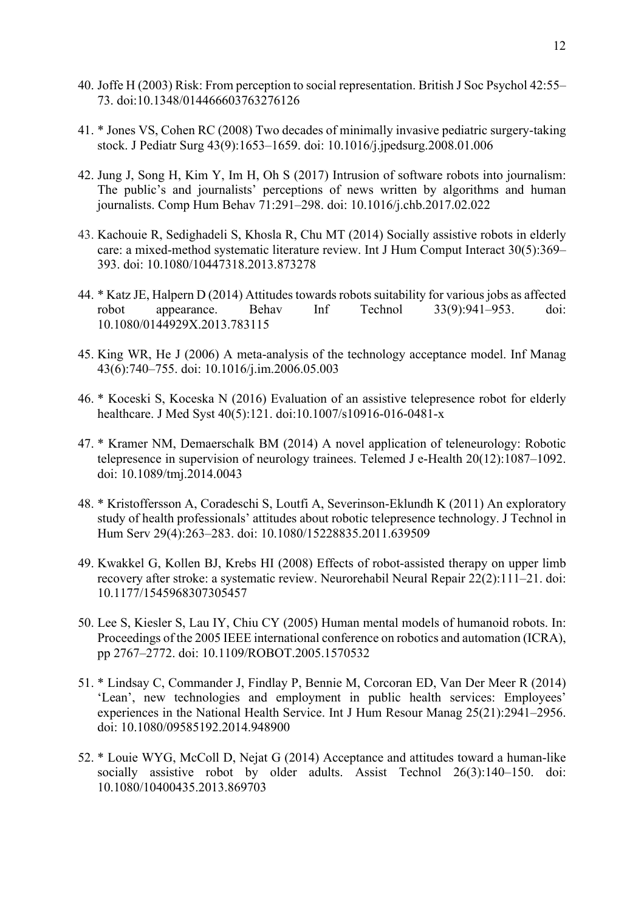- 40. Joffe H (2003) Risk: From perception to social representation. British J Soc Psychol 42:55– 73. doi:10.1348/014466603763276126
- 41. \* Jones VS, Cohen RC (2008) Two decades of minimally invasive pediatric surgery-taking stock. J Pediatr Surg 43(9):1653–1659. doi: 10.1016/j.jpedsurg.2008.01.006
- 42. Jung J, Song H, Kim Y, Im H, Oh S (2017) Intrusion of software robots into journalism: The public's and journalists' perceptions of news written by algorithms and human journalists. Comp Hum Behav 71:291–298. doi: 10.1016/j.chb.2017.02.022
- 43. Kachouie R, Sedighadeli S, Khosla R, Chu MT (2014) Socially assistive robots in elderly care: a mixed-method systematic literature review. Int J Hum Comput Interact 30(5):369– 393. doi: 10.1080/10447318.2013.873278
- 44. \* Katz JE, Halpern D (2014) Attitudes towards robots suitability for various jobs as affected robot appearance. Behav Inf Technol 33(9):941–953. doi: 10.1080/0144929X.2013.783115
- 45. King WR, He J (2006) A meta-analysis of the technology acceptance model. Inf Manag 43(6):740–755. doi: 10.1016/j.im.2006.05.003
- 46. \* Koceski S, Koceska N (2016) Evaluation of an assistive telepresence robot for elderly healthcare. J Med Syst 40(5):121. doi:10.1007/s10916-016-0481-x
- 47. \* Kramer NM, Demaerschalk BM (2014) A novel application of teleneurology: Robotic telepresence in supervision of neurology trainees. Telemed J e-Health 20(12):1087–1092. doi: 10.1089/tmj.2014.0043
- 48. \* Kristoffersson A, Coradeschi S, Loutfi A, Severinson-Eklundh K (2011) An exploratory study of health professionals' attitudes about robotic telepresence technology. J Technol in Hum Serv 29(4):263–283. doi: 10.1080/15228835.2011.639509
- 49. Kwakkel G, Kollen BJ, Krebs HI (2008) Effects of robot-assisted therapy on upper limb recovery after stroke: a systematic review. Neurorehabil Neural Repair 22(2):111–21. doi: 10.1177/1545968307305457
- 50. Lee S, Kiesler S, Lau IY, Chiu CY (2005) Human mental models of humanoid robots. In: Proceedings of the 2005 IEEE international conference on robotics and automation (ICRA), pp 2767–2772. doi: 10.1109/ROBOT.2005.1570532
- 51. \* Lindsay C, Commander J, Findlay P, Bennie M, Corcoran ED, Van Der Meer R (2014) 'Lean', new technologies and employment in public health services: Employees' experiences in the National Health Service. Int J Hum Resour Manag 25(21):2941–2956. doi: 10.1080/09585192.2014.948900
- 52. \* Louie WYG, McColl D, Nejat G (2014) Acceptance and attitudes toward a human-like socially assistive robot by older adults. Assist Technol 26(3):140-150. doi: 10.1080/10400435.2013.869703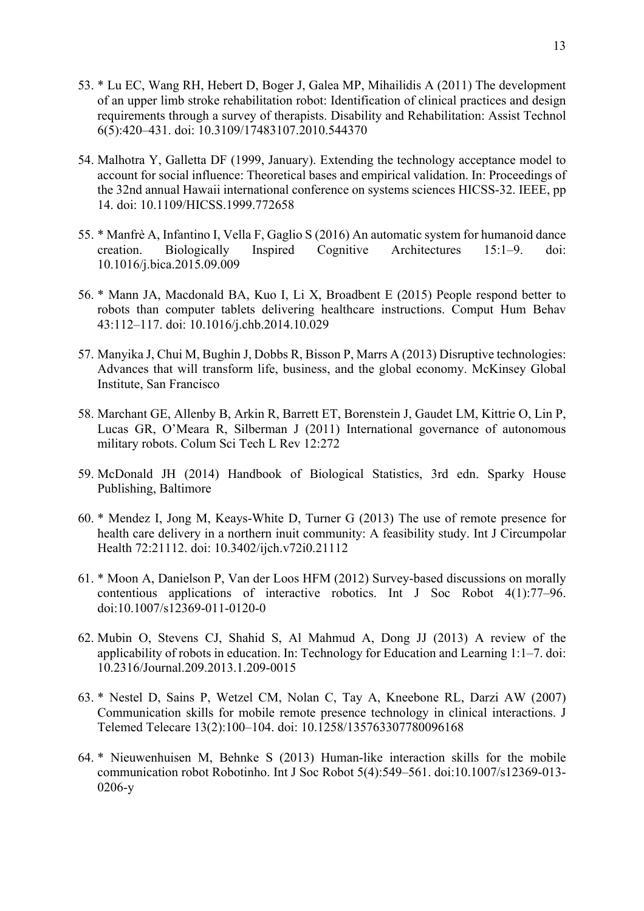- 53. \* Lu EC, Wang RH, Hebert D, Boger J, Galea MP, Mihailidis A (2011) The development of an upper limb stroke rehabilitation robot: Identification of clinical practices and design requirements through a survey of therapists. Disability and Rehabilitation: Assist Technol 6(5):420–431. doi: 10.3109/17483107.2010.544370
- 54. Malhotra Y, Galletta DF (1999, January). Extending the technology acceptance model to account for social influence: Theoretical bases and empirical validation. In: Proceedings of the 32nd annual Hawaii international conference on systems sciences HICSS-32. IEEE, pp 14. doi: 10.1109/HICSS.1999.772658
- 55. \* Manfrè A, Infantino I, Vella F, Gaglio S (2016) An automatic system for humanoid dance creation. Biologically Inspired Cognitive Architectures 15:1–9. doi: 10.1016/j.bica.2015.09.009
- 56. \* Mann JA, Macdonald BA, Kuo I, Li X, Broadbent E (2015) People respond better to robots than computer tablets delivering healthcare instructions. Comput Hum Behav 43:112–117. doi: 10.1016/j.chb.2014.10.029
- 57. Manyika J, Chui M, Bughin J, Dobbs R, Bisson P, Marrs A (2013) Disruptive technologies: Advances that will transform life, business, and the global economy. McKinsey Global Institute, San Francisco
- 58. Marchant GE, Allenby B, Arkin R, Barrett ET, Borenstein J, Gaudet LM, Kittrie O, Lin P, Lucas GR, O'Meara R, Silberman J (2011) International governance of autonomous military robots. Colum Sci Tech L Rev 12:272
- 59. McDonald JH (2014) Handbook of Biological Statistics, 3rd edn. Sparky House Publishing, Baltimore
- 60. \* Mendez I, Jong M, Keays-White D, Turner G (2013) The use of remote presence for health care delivery in a northern inuit community: A feasibility study. Int J Circumpolar Health 72:21112. doi: 10.3402/ijch.v72i0.21112
- 61. \* Moon A, Danielson P, Van der Loos HFM (2012) Survey-based discussions on morally contentious applications of interactive robotics. Int J Soc Robot 4(1):77–96. doi:10.1007/s12369-011-0120-0
- 62. Mubin O, Stevens CJ, Shahid S, Al Mahmud A, Dong JJ (2013) A review of the applicability of robots in education. In: Technology for Education and Learning 1:1–7. doi: 10.2316/Journal.209.2013.1.209-0015
- 63. \* Nestel D, Sains P, Wetzel CM, Nolan C, Tay A, Kneebone RL, Darzi AW (2007) Communication skills for mobile remote presence technology in clinical interactions. J Telemed Telecare 13(2):100–104. doi: 10.1258/135763307780096168
- 64. \* Nieuwenhuisen M, Behnke S (2013) Human-like interaction skills for the mobile communication robot Robotinho. Int J Soc Robot 5(4):549–561. doi:10.1007/s12369-013- 0206-y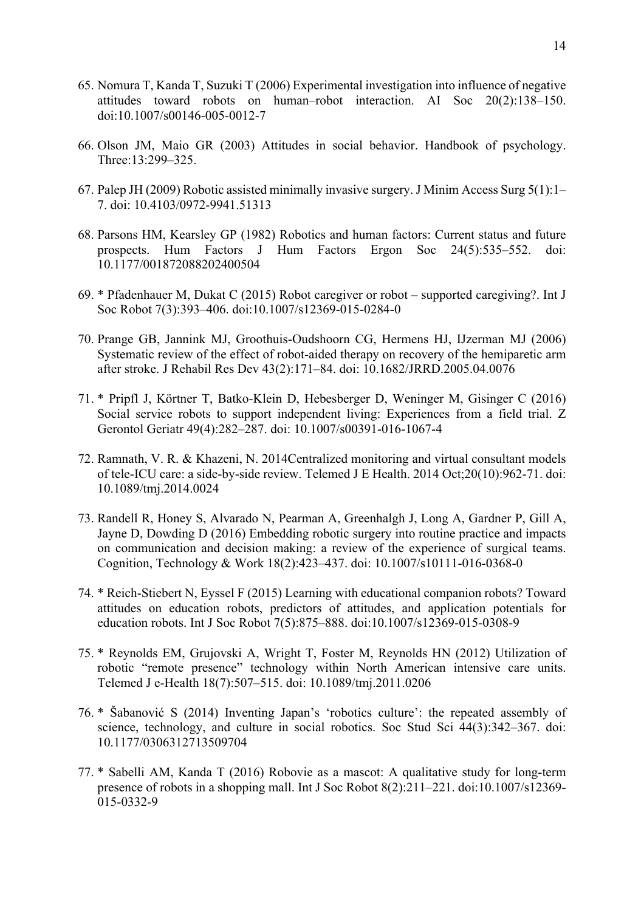- 65. Nomura T, Kanda T, Suzuki T (2006) Experimental investigation into influence of negative attitudes toward robots on human–robot interaction. AI Soc 20(2):138–150. doi:10.1007/s00146-005-0012-7
- 66. Olson JM, Maio GR (2003) Attitudes in social behavior. Handbook of psychology. Three:13:299–325.
- 67. Palep JH (2009) Robotic assisted minimally invasive surgery. J Minim Access Surg 5(1):1– 7. doi: 10.4103/0972-9941.51313
- 68. Parsons HM, Kearsley GP (1982) Robotics and human factors: Current status and future prospects. Hum Factors J Hum Factors Ergon Soc 24(5):535–552. doi: 10.1177/001872088202400504
- 69. \* Pfadenhauer M, Dukat C (2015) Robot caregiver or robot supported caregiving?. Int J Soc Robot 7(3):393–406. doi:10.1007/s12369-015-0284-0
- 70. Prange GB, Jannink MJ, Groothuis-Oudshoorn CG, Hermens HJ, IJzerman MJ (2006) Systematic review of the effect of robot-aided therapy on recovery of the hemiparetic arm after stroke. J Rehabil Res Dev 43(2):171–84. doi: 10.1682/JRRD.2005.04.0076
- 71. \* Pripfl J, Körtner T, Batko-Klein D, Hebesberger D, Weninger M, Gisinger C (2016) Social service robots to support independent living: Experiences from a field trial. Z Gerontol Geriatr 49(4):282–287. doi: 10.1007/s00391-016-1067-4
- 72. Ramnath, V. R. & Khazeni, N. 2014Centralized monitoring and virtual consultant models of tele-ICU care: a side-by-side review. Telemed J E Health. 2014 Oct;20(10):962-71. doi: 10.1089/tmj.2014.0024
- 73. Randell R, Honey S, Alvarado N, Pearman A, Greenhalgh J, Long A, Gardner P, Gill A, Jayne D, Dowding D (2016) Embedding robotic surgery into routine practice and impacts on communication and decision making: a review of the experience of surgical teams. Cognition, Technology & Work 18(2):423–437. doi: 10.1007/s10111-016-0368-0
- 74. \* Reich-Stiebert N, Eyssel F (2015) Learning with educational companion robots? Toward attitudes on education robots, predictors of attitudes, and application potentials for education robots. Int J Soc Robot 7(5):875–888. doi:10.1007/s12369-015-0308-9
- 75. \* Reynolds EM, Grujovski A, Wright T, Foster M, Reynolds HN (2012) Utilization of robotic "remote presence" technology within North American intensive care units. Telemed J e-Health 18(7):507–515. doi: 10.1089/tmj.2011.0206
- 76. \* Šabanović S (2014) Inventing Japan's 'robotics culture': the repeated assembly of science, technology, and culture in social robotics. Soc Stud Sci 44(3):342–367. doi: 10.1177/0306312713509704
- 77. \* Sabelli AM, Kanda T (2016) Robovie as a mascot: A qualitative study for long-term presence of robots in a shopping mall. Int J Soc Robot 8(2):211–221. doi:10.1007/s12369- 015-0332-9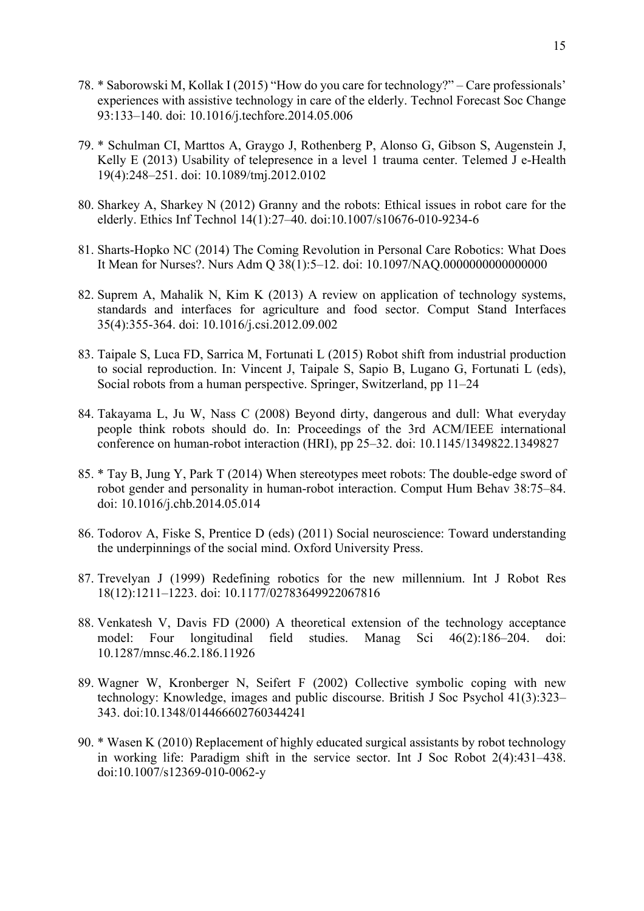- 78. \* Saborowski M, Kollak I (2015) "How do you care for technology?" Care professionals' experiences with assistive technology in care of the elderly. Technol Forecast Soc Change 93:133–140. doi: 10.1016/j.techfore.2014.05.006
- 79. \* Schulman CI, Marttos A, Graygo J, Rothenberg P, Alonso G, Gibson S, Augenstein J, Kelly E (2013) Usability of telepresence in a level 1 trauma center. Telemed J e-Health 19(4):248–251. doi: 10.1089/tmj.2012.0102
- 80. Sharkey A, Sharkey N (2012) Granny and the robots: Ethical issues in robot care for the elderly. Ethics Inf Technol 14(1):27–40. doi:10.1007/s10676-010-9234-6
- 81. Sharts-Hopko NC (2014) The Coming Revolution in Personal Care Robotics: What Does It Mean for Nurses?. Nurs Adm Q 38(1):5–12. doi: 10.1097/NAQ.0000000000000000
- 82. Suprem A, Mahalik N, Kim K (2013) A review on application of technology systems, standards and interfaces for agriculture and food sector. Comput Stand Interfaces 35(4):355-364. doi: 10.1016/j.csi.2012.09.002
- 83. Taipale S, Luca FD, Sarrica M, Fortunati L (2015) Robot shift from industrial production to social reproduction. In: Vincent J, Taipale S, Sapio B, Lugano G, Fortunati L (eds), Social robots from a human perspective. Springer, Switzerland, pp 11–24
- 84. Takayama L, Ju W, Nass C (2008) Beyond dirty, dangerous and dull: What everyday people think robots should do. In: Proceedings of the 3rd ACM/IEEE international conference on human-robot interaction (HRI), pp 25–32. doi: 10.1145/1349822.1349827
- 85. \* Tay B, Jung Y, Park T (2014) When stereotypes meet robots: The double-edge sword of robot gender and personality in human-robot interaction. Comput Hum Behav 38:75–84. doi: 10.1016/j.chb.2014.05.014
- 86. Todorov A, Fiske S, Prentice D (eds) (2011) Social neuroscience: Toward understanding the underpinnings of the social mind. Oxford University Press.
- 87. Trevelyan J (1999) Redefining robotics for the new millennium. Int J Robot Res 18(12):1211–1223. doi: 10.1177/02783649922067816
- 88. Venkatesh V, Davis FD (2000) A theoretical extension of the technology acceptance model: Four longitudinal field studies. Manag Sci 46(2):186–204. doi: 10.1287/mnsc.46.2.186.11926
- 89. Wagner W, Kronberger N, Seifert F (2002) Collective symbolic coping with new technology: Knowledge, images and public discourse. British J Soc Psychol 41(3):323– 343. doi:10.1348/014466602760344241
- 90. \* Wasen K (2010) Replacement of highly educated surgical assistants by robot technology in working life: Paradigm shift in the service sector. Int J Soc Robot 2(4):431–438. doi:10.1007/s12369-010-0062-y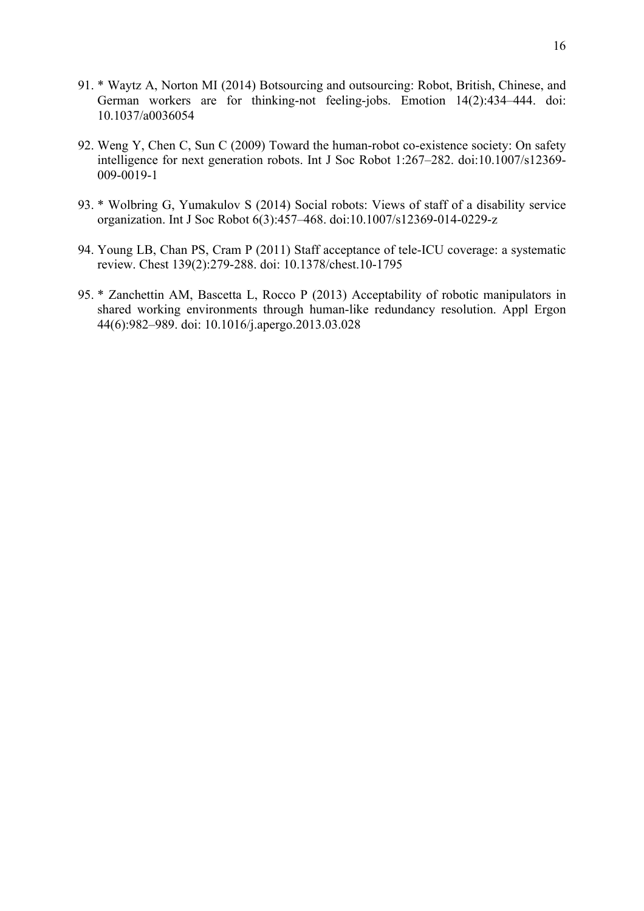- 91. \* Waytz A, Norton MI (2014) Botsourcing and outsourcing: Robot, British, Chinese, and German workers are for thinking-not feeling-jobs. Emotion 14(2):434–444. doi: 10.1037/a0036054
- 92. Weng Y, Chen C, Sun C (2009) Toward the human-robot co-existence society: On safety intelligence for next generation robots. Int J Soc Robot 1:267–282. doi:10.1007/s12369- 009-0019-1
- 93. \* Wolbring G, Yumakulov S (2014) Social robots: Views of staff of a disability service organization. Int J Soc Robot 6(3):457–468. doi:10.1007/s12369-014-0229-z
- 94. Young LB, Chan PS, Cram P (2011) Staff acceptance of tele-ICU coverage: a systematic review. Chest 139(2):279-288. doi: 10.1378/chest.10-1795
- 95. \* Zanchettin AM, Bascetta L, Rocco P (2013) Acceptability of robotic manipulators in shared working environments through human-like redundancy resolution. Appl Ergon 44(6):982–989. doi: 10.1016/j.apergo.2013.03.028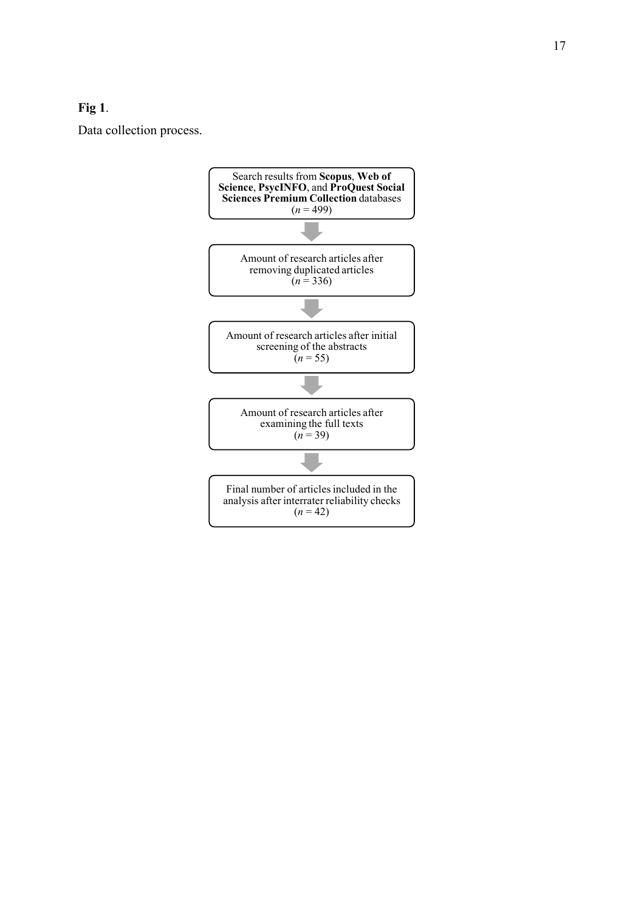# **Fig 1**.

Data collection process.

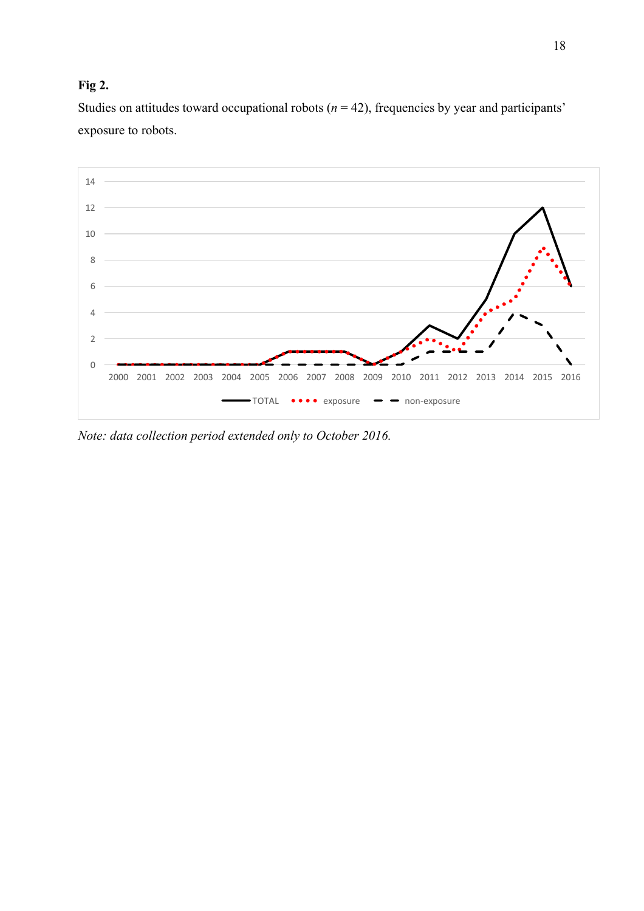# **Fig 2.**

Studies on attitudes toward occupational robots  $(n = 42)$ , frequencies by year and participants' exposure to robots.



*Note: data collection period extended only to October 2016.*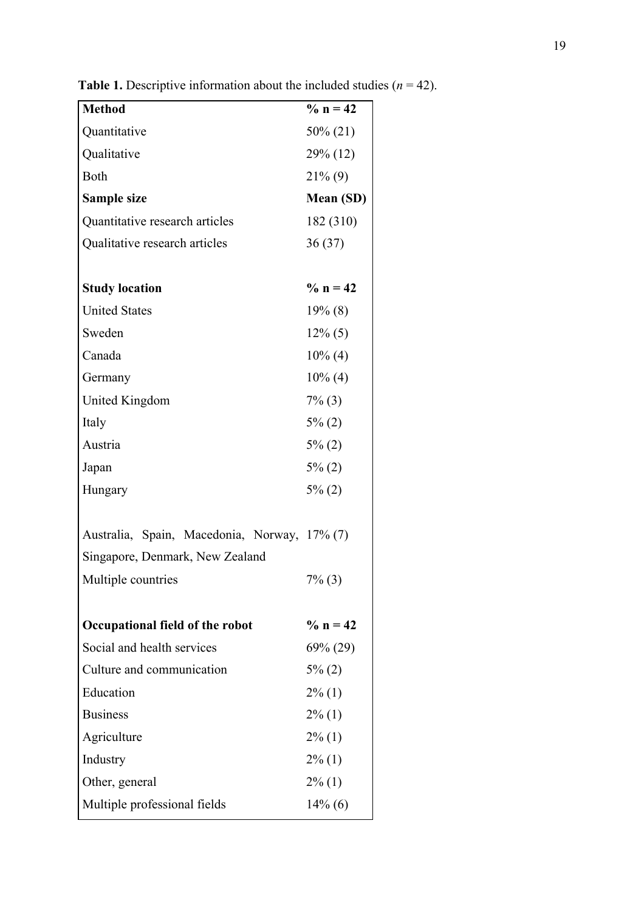| <b>Method</b>                                | $\% n = 42$ |
|----------------------------------------------|-------------|
| Quantitative                                 | 50% (21)    |
| Qualitative                                  | 29% (12)    |
| Both                                         | $21\%$ (9)  |
| <b>Sample size</b>                           | Mean (SD)   |
| Quantitative research articles               | 182 (310)   |
| Qualitative research articles                | 36(37)      |
|                                              |             |
| <b>Study location</b>                        | $\%$ n = 42 |
| <b>United States</b>                         | $19\%$ (8)  |
| Sweden                                       | $12\%$ (5)  |
| Canada                                       | $10\%$ (4)  |
| Germany                                      | $10\%$ (4)  |
| <b>United Kingdom</b>                        | $7\%$ (3)   |
| Italy                                        | $5\%$ (2)   |
| Austria                                      | $5\%$ (2)   |
| Japan                                        | $5\%$ (2)   |
| Hungary                                      | $5\%$ (2)   |
|                                              |             |
| Australia, Spain, Macedonia, Norway, 17% (7) |             |
| Singapore, Denmark, New Zealand              |             |
| Multiple countries                           | $7\%$ (3)   |
|                                              |             |
| Occupational field of the robot              | $\%$ n = 42 |
| Social and health services                   | $69\% (29)$ |
| Culture and communication                    | $5\%$ (2)   |
| Education                                    | $2\%$ (1)   |
| <b>Business</b>                              | $2\%$ (1)   |
| Agriculture                                  | $2\%$ (1)   |
| Industry                                     | $2\%$ (1)   |
| Other, general                               | $2\%$ (1)   |
| Multiple professional fields                 | $14\%$ (6)  |

**Table 1.** Descriptive information about the included studies  $(n = 42)$ .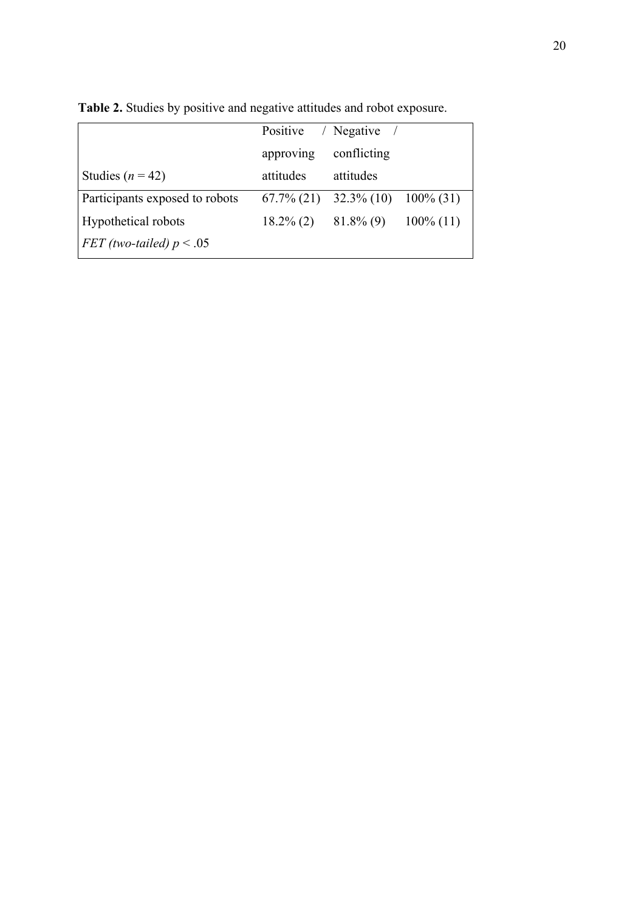|                                |                           | Positive / Negative /                    |              |
|--------------------------------|---------------------------|------------------------------------------|--------------|
|                                | approving                 | conflicting                              |              |
| Studies ( $n = 42$ )           | attitudes                 | attitudes                                |              |
| Participants exposed to robots |                           | $67.7\% (21)$ $32.3\% (10)$ $100\% (31)$ |              |
| Hypothetical robots            | $18.2\% (2)$ $81.8\% (9)$ |                                          | $100\%$ (11) |
| FET (two-tailed) $p < .05$     |                           |                                          |              |

**Table 2.** Studies by positive and negative attitudes and robot exposure.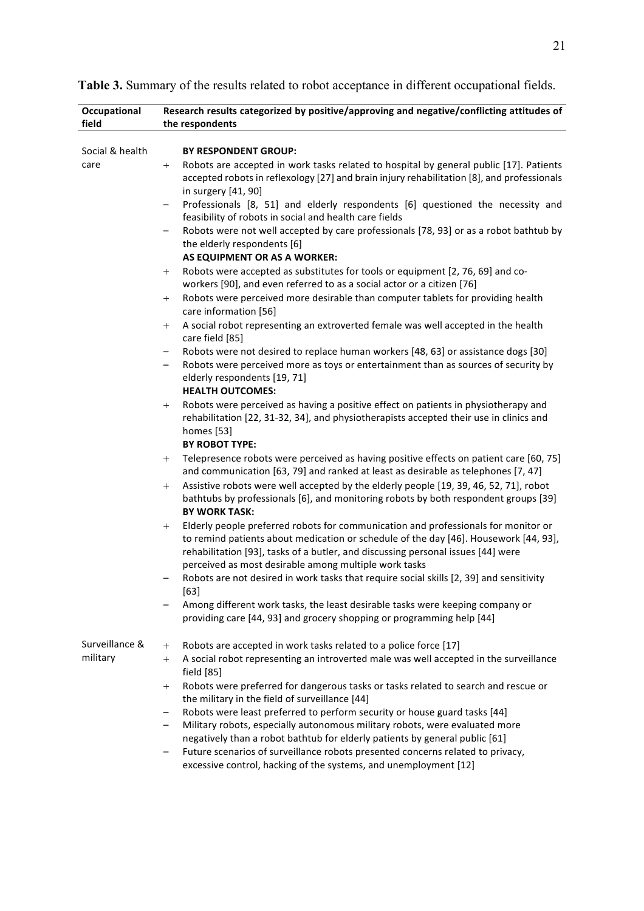| Occupational    | Research results categorized by positive/approving and negative/conflicting attitudes of                                                                                                                                                                                                                                          |
|-----------------|-----------------------------------------------------------------------------------------------------------------------------------------------------------------------------------------------------------------------------------------------------------------------------------------------------------------------------------|
| field           | the respondents                                                                                                                                                                                                                                                                                                                   |
|                 |                                                                                                                                                                                                                                                                                                                                   |
| Social & health | <b>BY RESPONDENT GROUP:</b>                                                                                                                                                                                                                                                                                                       |
| care            | Robots are accepted in work tasks related to hospital by general public [17]. Patients<br>$+$<br>accepted robots in reflexology [27] and brain injury rehabilitation [8], and professionals<br>in surgery [41, 90]                                                                                                                |
|                 | Professionals [8, 51] and elderly respondents [6] questioned the necessity and<br>-                                                                                                                                                                                                                                               |
|                 | feasibility of robots in social and health care fields                                                                                                                                                                                                                                                                            |
|                 | Robots were not well accepted by care professionals [78, 93] or as a robot bathtub by<br>-<br>the elderly respondents [6]<br>AS EQUIPMENT OR AS A WORKER:                                                                                                                                                                         |
|                 | Robots were accepted as substitutes for tools or equipment [2, 76, 69] and co-                                                                                                                                                                                                                                                    |
|                 | $^{+}$<br>workers [90], and even referred to as a social actor or a citizen [76]                                                                                                                                                                                                                                                  |
|                 | Robots were perceived more desirable than computer tablets for providing health<br>$^{+}$                                                                                                                                                                                                                                         |
|                 | care information [56]                                                                                                                                                                                                                                                                                                             |
|                 | A social robot representing an extroverted female was well accepted in the health<br>$^{+}$                                                                                                                                                                                                                                       |
|                 | care field [85]                                                                                                                                                                                                                                                                                                                   |
|                 | Robots were not desired to replace human workers [48, 63] or assistance dogs [30]<br>-                                                                                                                                                                                                                                            |
|                 | Robots were perceived more as toys or entertainment than as sources of security by                                                                                                                                                                                                                                                |
|                 | elderly respondents [19, 71]                                                                                                                                                                                                                                                                                                      |
|                 | <b>HEALTH OUTCOMES:</b>                                                                                                                                                                                                                                                                                                           |
|                 | Robots were perceived as having a positive effect on patients in physiotherapy and<br>$^{+}$                                                                                                                                                                                                                                      |
|                 | rehabilitation [22, 31-32, 34], and physiotherapists accepted their use in clinics and<br>homes [53]                                                                                                                                                                                                                              |
|                 | <b>BY ROBOT TYPE:</b>                                                                                                                                                                                                                                                                                                             |
|                 | Telepresence robots were perceived as having positive effects on patient care [60, 75]<br>$+$<br>and communication [63, 79] and ranked at least as desirable as telephones [7, 47]                                                                                                                                                |
|                 | Assistive robots were well accepted by the elderly people [19, 39, 46, 52, 71], robot<br>$^{+}$<br>bathtubs by professionals [6], and monitoring robots by both respondent groups [39]<br><b>BY WORK TASK:</b>                                                                                                                    |
|                 | Elderly people preferred robots for communication and professionals for monitor or<br>$^{+}$<br>to remind patients about medication or schedule of the day [46]. Housework [44, 93],<br>rehabilitation [93], tasks of a butler, and discussing personal issues [44] were<br>perceived as most desirable among multiple work tasks |
|                 | Robots are not desired in work tasks that require social skills [2, 39] and sensitivity                                                                                                                                                                                                                                           |
|                 | $[63]$                                                                                                                                                                                                                                                                                                                            |
|                 | Among different work tasks, the least desirable tasks were keeping company or                                                                                                                                                                                                                                                     |
|                 | providing care [44, 93] and grocery shopping or programming help [44]                                                                                                                                                                                                                                                             |
| Surveillance &  | Robots are accepted in work tasks related to a police force [17]<br>$^{+}$                                                                                                                                                                                                                                                        |
| military        | A social robot representing an introverted male was well accepted in the surveillance<br>$^{+}$                                                                                                                                                                                                                                   |
|                 | field [85]                                                                                                                                                                                                                                                                                                                        |
|                 | Robots were preferred for dangerous tasks or tasks related to search and rescue or<br>$^{+}$                                                                                                                                                                                                                                      |
|                 | the military in the field of surveillance [44]                                                                                                                                                                                                                                                                                    |
|                 | Robots were least preferred to perform security or house guard tasks [44]<br>-                                                                                                                                                                                                                                                    |
|                 | Military robots, especially autonomous military robots, were evaluated more<br>-                                                                                                                                                                                                                                                  |
|                 | negatively than a robot bathtub for elderly patients by general public [61]                                                                                                                                                                                                                                                       |
|                 | Future scenarios of surveillance robots presented concerns related to privacy,<br>-<br>excessive control, hacking of the systems, and unemployment [12]                                                                                                                                                                           |

**Table 3.** Summary of the results related to robot acceptance in different occupational fields.